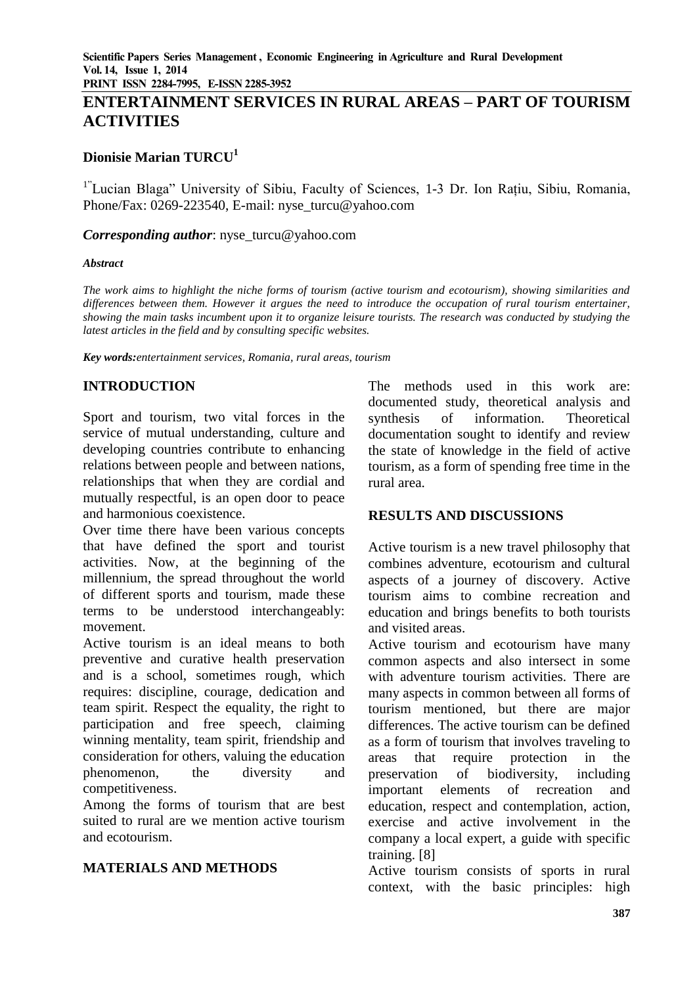**PRINT ISSN 2284-7995, E-ISSN 2285-3952** 

# **ENTERTAINMENT SERVICES IN RURAL AREAS – PART OF TOURISM ACTIVITIES**

## **Dionisie Marian TURCU<sup>1</sup>**

<sup>1"</sup>Lucian Blaga" University of Sibiu, Faculty of Sciences, 1-3 Dr. Ion Rațiu, Sibiu, Romania, Phone/Fax: 0269-223540, E-mail: nyse\_turcu@yahoo.com

#### *Corresponding author*: nyse\_turcu@yahoo.com

#### *Abstract*

*The work aims to highlight the niche forms of tourism (active tourism and ecotourism), showing similarities and differences between them. However it argues the need to introduce the occupation of rural tourism entertainer, showing the main tasks incumbent upon it to organize leisure tourists. The research was conducted by studying the latest articles in the field and by consulting specific websites.*

*Key words:entertainment services, Romania, rural areas, tourism*

# **INTRODUCTION**

Sport and tourism, two vital forces in the service of mutual understanding, culture and developing countries contribute to enhancing relations between people and between nations, relationships that when they are cordial and mutually respectful, is an open door to peace and harmonious coexistence.

Over time there have been various concepts that have defined the sport and tourist activities. Now, at the beginning of the millennium, the spread throughout the world of different sports and tourism, made these terms to be understood interchangeably: movement.

Active tourism is an ideal means to both preventive and curative health preservation and is a school, sometimes rough, which requires: discipline, courage, dedication and team spirit. Respect the equality, the right to participation and free speech, claiming winning mentality, team spirit, friendship and consideration for others, valuing the education phenomenon, the diversity and competitiveness.

Among the forms of tourism that are best suited to rural are we mention active tourism and ecotourism.

#### **MATERIALS AND METHODS**

The methods used in this work are: documented study, theoretical analysis and synthesis of information. Theoretical documentation sought to identify and review the state of knowledge in the field of active tourism, as a form of spending free time in the rural area.

#### **RESULTS AND DISCUSSIONS**

Active tourism is a new travel philosophy that combines adventure, ecotourism and cultural aspects of a journey of discovery. Active tourism aims to combine recreation and education and brings benefits to both tourists and visited areas.

Active tourism and ecotourism have many common aspects and also intersect in some with adventure tourism activities. There are many aspects in common between all forms of tourism mentioned, but there are major differences. The active tourism can be defined as a form of tourism that involves traveling to areas that require protection in the preservation of biodiversity, including important elements of recreation and education, respect and contemplation, action, exercise and active involvement in the company a local expert, a guide with specific training. [8]

Active tourism consists of sports in rural context, with the basic principles: high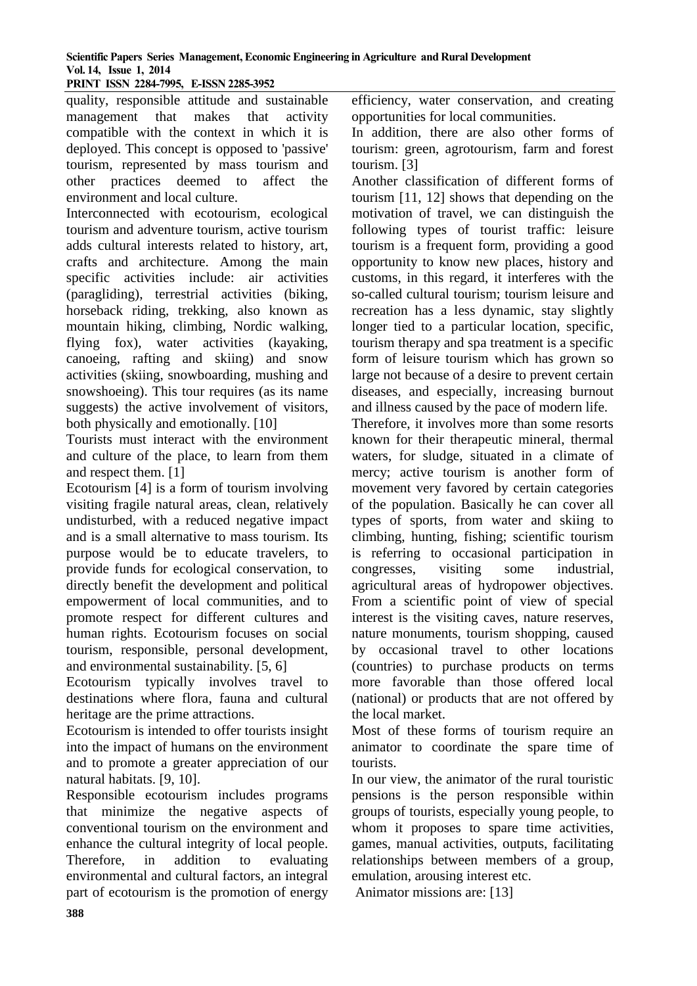# **Scientific Papers Series Management, Economic Engineering in Agriculture and Rural Development Vol. 14, Issue 1, 2014**

**PRINT ISSN 2284-7995, E-ISSN 2285-3952** 

quality, responsible attitude and sustainable management that makes that activity compatible with the context in which it is deployed. This concept is opposed to 'passive' tourism, represented by mass tourism and other practices deemed to affect the environment and local culture.

Interconnected with ecotourism, ecological tourism and adventure tourism, active tourism adds cultural interests related to history, art, crafts and architecture. Among the main specific activities include: air activities (paragliding), terrestrial activities (biking, horseback riding, trekking, also known as mountain hiking, climbing, Nordic walking, flying fox), water activities (kayaking, canoeing, rafting and skiing) and snow activities (skiing, snowboarding, mushing and snowshoeing). This tour requires (as its name suggests) the active involvement of visitors, both physically and emotionally. [10]

Tourists must interact with the environment and culture of the place, to learn from them and respect them. [1]

Ecotourism [4] is a form of tourism involving visiting fragile natural areas, clean, relatively undisturbed, with a reduced negative impact and is a small alternative to mass tourism. Its purpose would be to educate travelers, to provide funds for ecological conservation, to directly benefit the development and political empowerment of local communities, and to promote respect for different cultures and human rights. Ecotourism focuses on social tourism, responsible, personal development, and environmental sustainability. [5, 6]

Ecotourism typically involves travel to destinations where flora, fauna and cultural heritage are the prime attractions.

Ecotourism is intended to offer tourists insight into the impact of humans on the environment and to promote a greater appreciation of our natural habitats. [9, 10].

Responsible ecotourism includes programs that minimize the negative aspects of conventional tourism on the environment and enhance the cultural integrity of local people. Therefore, in addition to evaluating environmental and cultural factors, an integral part of ecotourism is the promotion of energy efficiency, water conservation, and creating opportunities for local communities.

In addition, there are also other forms of tourism: green, agrotourism, farm and forest tourism. [3]

Another classification of different forms of tourism [11, 12] shows that depending on the motivation of travel, we can distinguish the following types of tourist traffic: leisure tourism is a frequent form, providing a good opportunity to know new places, history and customs, in this regard, it interferes with the so-called cultural tourism; tourism leisure and recreation has a less dynamic, stay slightly longer tied to a particular location, specific, tourism therapy and spa treatment is a specific form of leisure tourism which has grown so large not because of a desire to prevent certain diseases, and especially, increasing burnout and illness caused by the pace of modern life.

Therefore, it involves more than some resorts known for their therapeutic mineral, thermal waters, for sludge, situated in a climate of mercy; active tourism is another form of movement very favored by certain categories of the population. Basically he can cover all types of sports, from water and skiing to climbing, hunting, fishing; scientific tourism is referring to occasional participation in congresses, visiting some industrial, agricultural areas of hydropower objectives. From a scientific point of view of special interest is the visiting caves, nature reserves, nature monuments, tourism shopping, caused by occasional travel to other locations (countries) to purchase products on terms more favorable than those offered local (national) or products that are not offered by the local market.

Most of these forms of tourism require an animator to coordinate the spare time of tourists.

In our view, the animator of the rural touristic pensions is the person responsible within groups of tourists, especially young people, to whom it proposes to spare time activities, games, manual activities, outputs, facilitating relationships between members of a group, emulation, arousing interest etc.

Animator missions are: [13]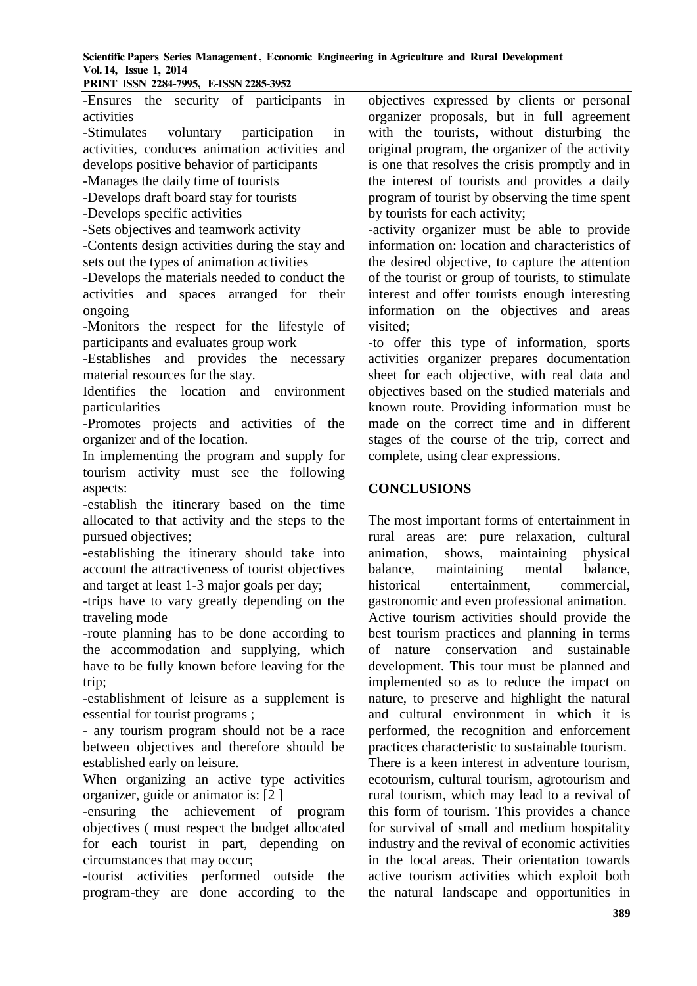**Scientific Papers Series Management , Economic Engineering in Agriculture and Rural Development Vol. 14, Issue 1, 2014**

**PRINT ISSN 2284-7995, E-ISSN 2285-3952** 

-Ensures the security of participants in activities

-Stimulates voluntary participation in activities, conduces animation activities and develops positive behavior of participants

-Manages the daily time of tourists

-Develops draft board stay for tourists

-Develops specific activities

-Sets objectives and teamwork activity

-Contents design activities during the stay and sets out the types of animation activities

-Develops the materials needed to conduct the activities and spaces arranged for their ongoing

-Monitors the respect for the lifestyle of participants and evaluates group work

-Establishes and provides the necessary material resources for the stay.

Identifies the location and environment particularities

-Promotes projects and activities of the organizer and of the location.

In implementing the program and supply for tourism activity must see the following aspects:

-establish the itinerary based on the time allocated to that activity and the steps to the pursued objectives;

-establishing the itinerary should take into account the attractiveness of tourist objectives and target at least 1-3 major goals per day;

-trips have to vary greatly depending on the traveling mode

-route planning has to be done according to the accommodation and supplying, which have to be fully known before leaving for the trip;

-establishment of leisure as a supplement is essential for tourist programs ;

- any tourism program should not be a race between objectives and therefore should be established early on leisure.

When organizing an active type activities organizer, guide or animator is: [2 ]

-ensuring the achievement of program objectives ( must respect the budget allocated for each tourist in part, depending on circumstances that may occur;

-tourist activities performed outside the program-they are done according to the objectives expressed by clients or personal organizer proposals, but in full agreement with the tourists, without disturbing the original program, the organizer of the activity is one that resolves the crisis promptly and in the interest of tourists and provides a daily program of tourist by observing the time spent by tourists for each activity;

-activity organizer must be able to provide information on: location and characteristics of the desired objective, to capture the attention of the tourist or group of tourists, to stimulate interest and offer tourists enough interesting information on the objectives and areas visited;

-to offer this type of information, sports activities organizer prepares documentation sheet for each objective, with real data and objectives based on the studied materials and known route. Providing information must be made on the correct time and in different stages of the course of the trip, correct and complete, using clear expressions.

## **CONCLUSIONS**

The most important forms of entertainment in rural areas are: pure relaxation, cultural animation, shows, maintaining physical balance, maintaining mental balance, historical entertainment, commercial, gastronomic and even professional animation. Active tourism activities should provide the best tourism practices and planning in terms of nature conservation and sustainable development. This tour must be planned and implemented so as to reduce the impact on nature, to preserve and highlight the natural and cultural environment in which it is performed, the recognition and enforcement practices characteristic to sustainable tourism. There is a keen interest in adventure tourism,

ecotourism, cultural tourism, agrotourism and rural tourism, which may lead to a revival of this form of tourism. This provides a chance for survival of small and medium hospitality industry and the revival of economic activities in the local areas. Their orientation towards active tourism activities which exploit both the natural landscape and opportunities in